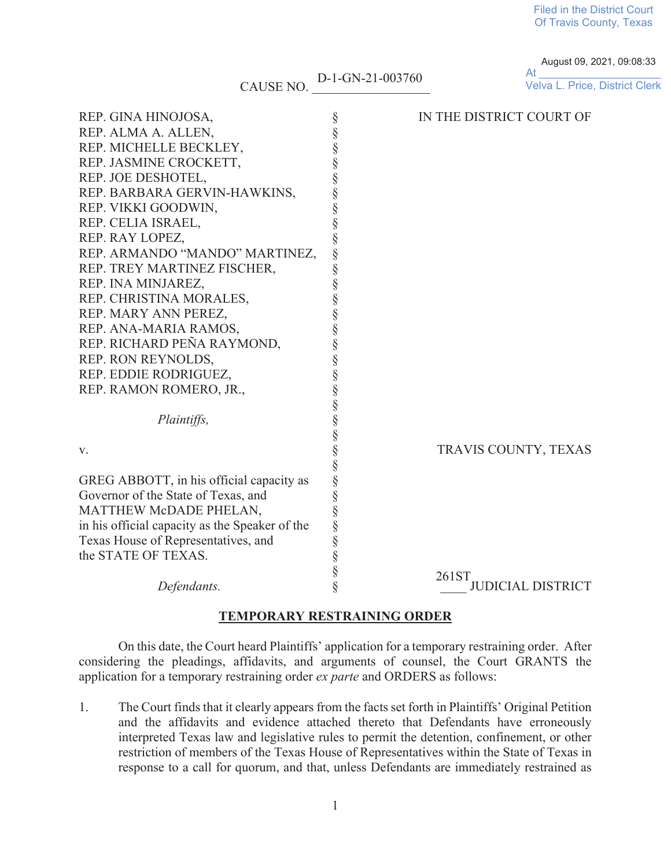**Filed in the District Court** Of Travis County, Texas

## CAUSE NO. D-1-GN-21-003760

August 09, 2021, 09:08:33  $At$ Velva L. Price, District Clerk

| REP. GINA HINOJOSA,                            |        | IN THE DISTRICT COURT OF          |
|------------------------------------------------|--------|-----------------------------------|
| REP. ALMA A. ALLEN,                            | §<br>§ |                                   |
| REP. MICHELLE BECKLEY,                         |        |                                   |
| REP. JASMINE CROCKETT,                         |        |                                   |
| REP. JOE DESHOTEL,                             |        |                                   |
| REP. BARBARA GERVIN-HAWKINS,                   |        |                                   |
| REP. VIKKI GOODWIN,                            | §      |                                   |
| REP. CELIA ISRAEL,                             |        |                                   |
| REP. RAY LOPEZ,                                |        |                                   |
| REP. ARMANDO "MANDO" MARTINEZ,                 | §      |                                   |
| REP. TREY MARTINEZ FISCHER,                    | §      |                                   |
| REP. INA MINJAREZ,                             |        |                                   |
| REP. CHRISTINA MORALES,                        |        |                                   |
| REP. MARY ANN PEREZ,                           | §      |                                   |
| REP. ANA-MARIA RAMOS,                          |        |                                   |
| REP. RICHARD PEÑA RAYMOND,                     |        |                                   |
| REP. RON REYNOLDS,                             | §      |                                   |
| REP. EDDIE RODRIGUEZ,                          | §      |                                   |
| REP. RAMON ROMERO, JR.,                        |        |                                   |
|                                                | §      |                                   |
| Plaintiffs,                                    |        |                                   |
|                                                |        |                                   |
| V.                                             | §      | TRAVIS COUNTY, TEXAS              |
|                                                | §      |                                   |
| GREG ABBOTT, in his official capacity as       |        |                                   |
| Governor of the State of Texas, and            | §      |                                   |
| MATTHEW McDADE PHELAN,                         | §      |                                   |
| in his official capacity as the Speaker of the |        |                                   |
| Texas House of Representatives, and            | §      |                                   |
| the STATE OF TEXAS.                            | §      |                                   |
|                                                |        |                                   |
| Defendants.                                    |        | 261ST<br><b>JUDICIAL DISTRICT</b> |

## **TEMPORARY RESTRAINING ORDER**

On this date, the Court heard Plaintiffs' application for a temporary restraining order. After considering the pleadings, affidavits, and arguments of counsel, the Court GRANTS the application for a temporary restraining order ex parte and ORDERS as follows:

The Court finds that it clearly appears from the facts set forth in Plaintiffs' Original Petition  $1.$ and the affidavits and evidence attached thereto that Defendants have erroneously interpreted Texas law and legislative rules to permit the detention, confinement, or other restriction of members of the Texas House of Representatives within the State of Texas in response to a call for quorum, and that, unless Defendants are immediately restrained as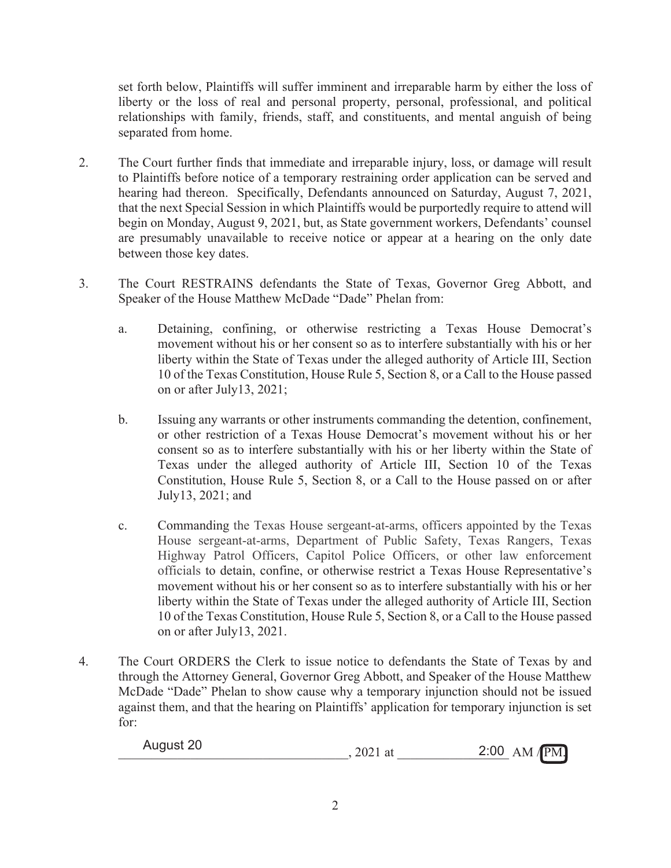set forth below, Plaintiffs will suffer imminent and irreparable harm by either the loss of liberty or the loss of real and personal property, personal, professional, and political relationships with family, friends, staff, and constituents, and mental anguish of being separated from home.

- 2. The Court further finds that immediate and irreparable injury, loss, or damage will result to Plaintiffs before notice of a temporary restraining order application can be served and hearing had thereon. Specifically, Defendants announced on Saturday, August 7, 2021, that the next Special Session in which Plaintiffs would be purportedly require to attend will begin on Monday, August 9, 2021, but, as State government workers, Defendants' counsel are presumably unavailable to receive notice or appear at a hearing on the only date between those key dates.
- 3. The Court RESTRAINS defendants the State of Texas, Governor Greg Abbott, and Speaker of the House Matthew McDade "Dade" Phelan from:
	- a. Detaining, confining, or otherwise restricting a Texas House Democrat's movement without his or her consent so as to interfere substantially with his or her liberty within the State of Texas under the alleged authority of Article III, Section 10 of the Texas Constitution, House Rule 5, Section 8, or a Call to the House passed on or after July13, 2021;
	- b. Issuing any warrants or other instruments commanding the detention, confinement, or other restriction of a Texas House Democrat's movement without his or her consent so as to interfere substantially with his or her liberty within the State of Texas under the alleged authority of Article III, Section 10 of the Texas Constitution, House Rule 5, Section 8, or a Call to the House passed on or after July13, 2021; and
	- c. Commanding the Texas House sergeant-at-arms, officers appointed by the Texas House sergeant-at-arms, Department of Public Safety, Texas Rangers, Texas Highway Patrol Officers, Capitol Police Officers, or other law enforcement officials to detain, confine, or otherwise restrict a Texas House Representative's movement without his or her consent so as to interfere substantially with his or her liberty within the State of Texas under the alleged authority of Article III, Section 10 of the Texas Constitution, House Rule 5, Section 8, or a Call to the House passed on or after July13, 2021.
- 4. The Court ORDERS the Clerk to issue notice to defendants the State of Texas by and through the Attorney General, Governor Greg Abbott, and Speaker of the House Matthew McDade "Dade" Phelan to show cause why a temporary injunction should not be issued against them, and that the hearing on Plaintiffs' application for temporary injunction is set for:

| August 20 | , 2021 at | $2:00$ AM/PM. |
|-----------|-----------|---------------|
|           |           |               |